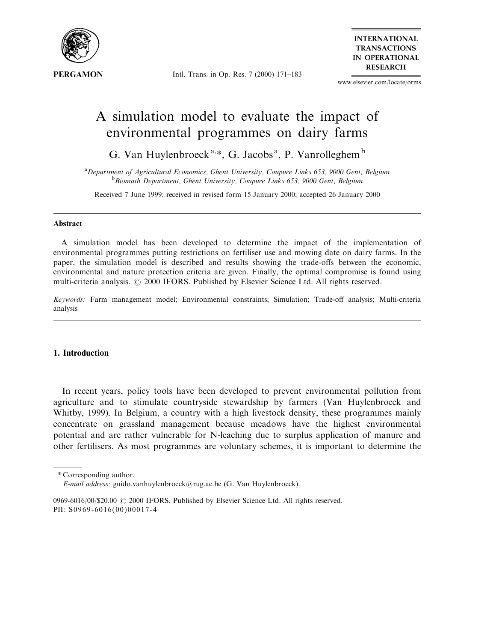

Intl. Trans. in Op. Res. 7 (2000) 171-183

**INTERNATIONAL TRANSACTIONS IN OPERATIONAL RESEARCH** 

www.elsevier.com/locate/orms

# A simulation model to evaluate the impact of environmental programmes on dairy farms

G. Van Huylenbroeck<sup>a,\*</sup>, G. Jacobs<sup>a</sup>, P. Vanrolleghem<sup>b</sup>

<sup>a</sup> Department of Agricultural Economics, Ghent University, Coupure Links 653, 9000 Gent, Belgium<br><sup>b</sup> Biomath Department Ghent University, Coupure Links 653, 9000 Gent, Belgium  $B$ bBiomath Department, Ghent University, Coupure Links 653, 9000 Gent, Belgium

Received 7 June 1999; received in revised form 15 January 2000; accepted 26 January 2000

#### Abstract

A simulation model has been developed to determine the impact of the implementation of environmental programmes putting restrictions on fertiliser use and mowing date on dairy farms. In the paper, the simulation model is described and results showing the trade-offs between the economic, environmental and nature protection criteria are given. Finally, the optimal compromise is found using multi-criteria analysis.  $\oslash$  2000 IFORS. Published by Elsevier Science Ltd. All rights reserved.

Keywords: Farm management model; Environmental constraints; Simulation; Trade-off analysis; Multi-criteria analysis

## 1. Introduction

In recent years, policy tools have been developed to prevent environmental pollution from agriculture and to stimulate countryside stewardship by farmers (Van Huylenbroeck and Whitby, 1999). In Belgium, a country with a high livestock density, these programmes mainly concentrate on grassland management because meadows have the highest environmental potential and are rather vulnerable for N-leaching due to surplus application of manure and other fertilisers. As most programmes are voluntary schemes, it is important to determine the

<sup>\*</sup> Corresponding author.

E-mail address: guido.vanhuylenbroeck@rug.ac.be (G. Van Huylenbroeck).

<sup>0969-6016/00/\$20.00</sup>  $\odot$  2000 IFORS. Published by Elsevier Science Ltd. All rights reserved. PII: S0969-6016(00)00017-4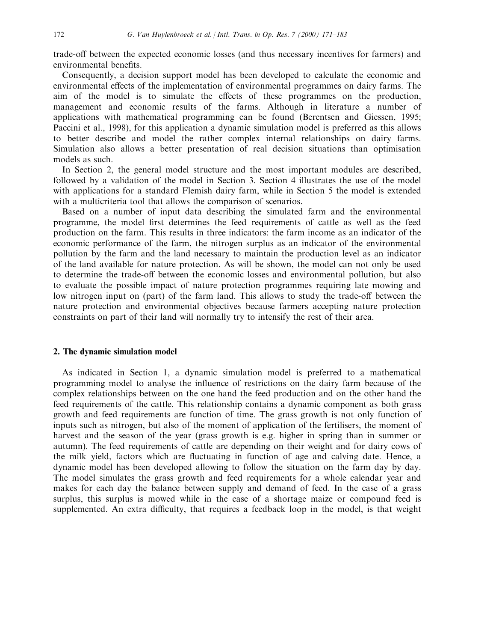trade-off between the expected economic losses (and thus necessary incentives for farmers) and environmental benefits.

Consequently, a decision support model has been developed to calculate the economic and environmental effects of the implementation of environmental programmes on dairy farms. The aim of the model is to simulate the effects of these programmes on the production, management and economic results of the farms. Although in literature a number of applications with mathematical programming can be found (Berentsen and Giessen, 1995; Paccini et al., 1998), for this application a dynamic simulation model is preferred as this allows to better describe and model the rather complex internal relationships on dairy farms. Simulation also allows a better presentation of real decision situations than optimisation models as such.

In Section 2, the general model structure and the most important modules are described, followed by a validation of the model in Section 3. Section 4 illustrates the use of the model with applications for a standard Flemish dairy farm, while in Section 5 the model is extended with a multicriteria tool that allows the comparison of scenarios.

Based on a number of input data describing the simulated farm and the environmental programme, the model first determines the feed requirements of cattle as well as the feed production on the farm. This results in three indicators: the farm income as an indicator of the economic performance of the farm, the nitrogen surplus as an indicator of the environmental pollution by the farm and the land necessary to maintain the production level as an indicator of the land available for nature protection. As will be shown, the model can not only be used to determine the trade-off between the economic losses and environmental pollution, but also to evaluate the possible impact of nature protection programmes requiring late mowing and low nitrogen input on (part) of the farm land. This allows to study the trade-off between the nature protection and environmental objectives because farmers accepting nature protection constraints on part of their land will normally try to intensify the rest of their area.

## 2. The dynamic simulation model

As indicated in Section 1, a dynamic simulation model is preferred to a mathematical programming model to analyse the influence of restrictions on the dairy farm because of the complex relationships between on the one hand the feed production and on the other hand the feed requirements of the cattle. This relationship contains a dynamic component as both grass growth and feed requirements are function of time. The grass growth is not only function of inputs such as nitrogen, but also of the moment of application of the fertilisers, the moment of harvest and the season of the year (grass growth is e.g. higher in spring than in summer or autumn). The feed requirements of cattle are depending on their weight and for dairy cows of the milk yield, factors which are fluctuating in function of age and calving date. Hence, a dynamic model has been developed allowing to follow the situation on the farm day by day. The model simulates the grass growth and feed requirements for a whole calendar year and makes for each day the balance between supply and demand of feed. In the case of a grass surplus, this surplus is mowed while in the case of a shortage maize or compound feed is supplemented. An extra difficulty, that requires a feedback loop in the model, is that weight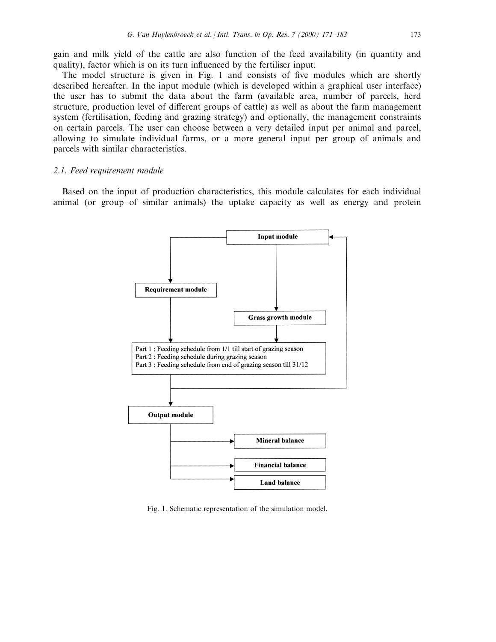gain and milk yield of the cattle are also function of the feed availability (in quantity and quality), factor which is on its turn influenced by the fertiliser input.

The model structure is given in Fig. 1 and consists of five modules which are shortly described hereafter. In the input module (which is developed within a graphical user interface) the user has to submit the data about the farm (available area, number of parcels, herd structure, production level of different groups of cattle) as well as about the farm management system (fertilisation, feeding and grazing strategy) and optionally, the management constraints on certain parcels. The user can choose between a very detailed input per animal and parcel, allowing to simulate individual farms, or a more general input per group of animals and parcels with similar characteristics.

#### 2.1. Feed requirement module

Based on the input of production characteristics, this module calculates for each individual animal (or group of similar animals) the uptake capacity as well as energy and protein



Fig. 1. Schematic representation of the simulation model.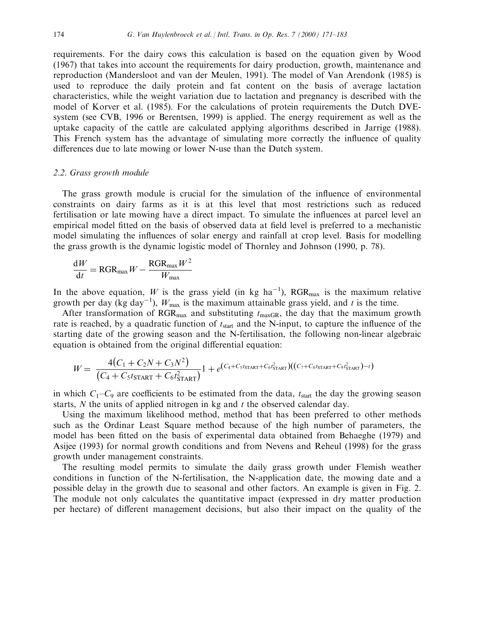requirements. For the dairy cows this calculation is based on the equation given by Wood (1967) that takes into account the requirements for dairy production, growth, maintenance and reproduction (Mandersloot and van der Meulen, 1991). The model of Van Arendonk (1985) is used to reproduce the daily protein and fat content on the basis of average lactation characteristics, while the weight variation due to lactation and pregnancy is described with the model of Korver et al. (1985). For the calculations of protein requirements the Dutch DVEsystem (see CVB, 1996 or Berentsen, 1999) is applied. The energy requirement as well as the uptake capacity of the cattle are calculated applying algorithms described in Jarrige (1988). This French system has the advantage of simulating more correctly the influence of quality differences due to late mowing or lower N-use than the Dutch system.

#### 2.2. Grass growth module

The grass growth module is crucial for the simulation of the influence of environmental constraints on dairy farms as it is at this level that most restrictions such as reduced fertilisation or late mowing have a direct impact. To simulate the influences at parcel level an empirical model fitted on the basis of observed data at field level is preferred to a mechanistic model simulating the influences of solar energy and rainfall at crop level. Basis for modelling the grass growth is the dynamic logistic model of Thornley and Johnson (1990, p. 78).

$$
\frac{\mathrm{d}W}{\mathrm{d}t} = \mathrm{RGR}_{\mathrm{max}}W - \frac{\mathrm{RGR}_{\mathrm{max}}W^2}{W_{\mathrm{max}}}
$$

In the above equation, W is the grass yield (in kg ha<sup>-1</sup>), RGR<sub>max</sub> is the maximum relative growth per day (kg day<sup>-1</sup>),  $W_{\text{max}}$  is the maximum attainable grass yield, and t is the time.

After transformation of  $RGR<sub>max</sub>$  and substituting  $t<sub>maxGR</sub>$ , the day that the maximum growth rate is reached, by a quadratic function of  $t_{start}$  and the N-input, to capture the influence of the starting date of the growing season and the N-fertilisation, the following non-linear algebraic equation is obtained from the original differential equation:

$$
W = \frac{4(C_1 + C_2N + C_3N^2)}{(C_4 + C_5t_{\text{STAT}} + C_6t_{\text{STAT}}^2)}1 + e^{(C_4 + C_5t_{\text{START}} + C_6t_{\text{START}}^2)((C_7 + C_8t_{\text{START}} + C_9t_{\text{START}}^2) - t)}
$$

in which  $C_1-C_9$  are coefficients to be estimated from the data,  $t_{start}$  the day the growing season starts,  $N$  the units of applied nitrogen in kg and  $t$  the observed calendar day.

Using the maximum likelihood method, method that has been preferred to other methods such as the Ordinar Least Square method because of the high number of parameters, the model has been fitted on the basis of experimental data obtained from Behaeghe (1979) and Asijee (1993) for normal growth conditions and from Nevens and Reheul (1998) for the grass growth under management constraints.

The resulting model permits to simulate the daily grass growth under Flemish weather conditions in function of the N-fertilisation, the N-application date, the mowing date and a possible delay in the growth due to seasonal and other factors. An example is given in Fig. 2. The module not only calculates the quantitative impact (expressed in dry matter production per hectare) of different management decisions, but also their impact on the quality of the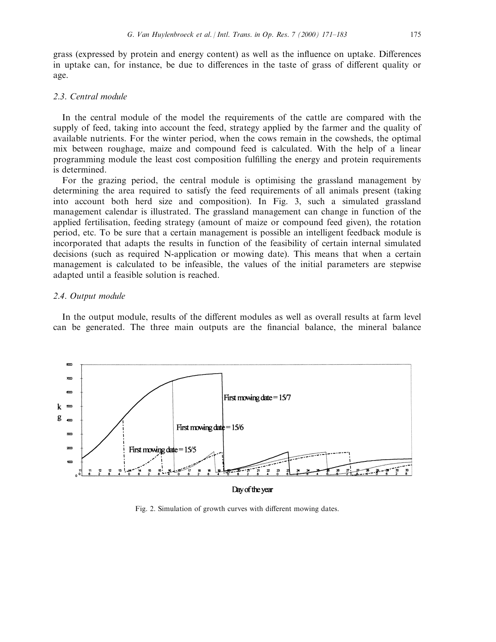grass (expressed by protein and energy content) as well as the influence on uptake. Differences in uptake can, for instance, be due to differences in the taste of grass of different quality or age.

### 2.3. Central module

In the central module of the model the requirements of the cattle are compared with the supply of feed, taking into account the feed, strategy applied by the farmer and the quality of available nutrients. For the winter period, when the cows remain in the cowsheds, the optimal mix between roughage, maize and compound feed is calculated. With the help of a linear programming module the least cost composition fulfilling the energy and protein requirements is determined.

For the grazing period, the central module is optimising the grassland management by determining the area required to satisfy the feed requirements of all animals present (taking into account both herd size and composition). In Fig. 3, such a simulated grassland management calendar is illustrated. The grassland management can change in function of the applied fertilisation, feeding strategy (amount of maize or compound feed given), the rotation period, etc. To be sure that a certain management is possible an intelligent feedback module is incorporated that adapts the results in function of the feasibility of certain internal simulated decisions (such as required N-application or mowing date). This means that when a certain management is calculated to be infeasible, the values of the initial parameters are stepwise adapted until a feasible solution is reached.

#### 2.4. Output module

In the output module, results of the different modules as well as overall results at farm level can be generated. The three main outputs are the financial balance, the mineral balance



Day of the year

Fig. 2. Simulation of growth curves with different mowing dates.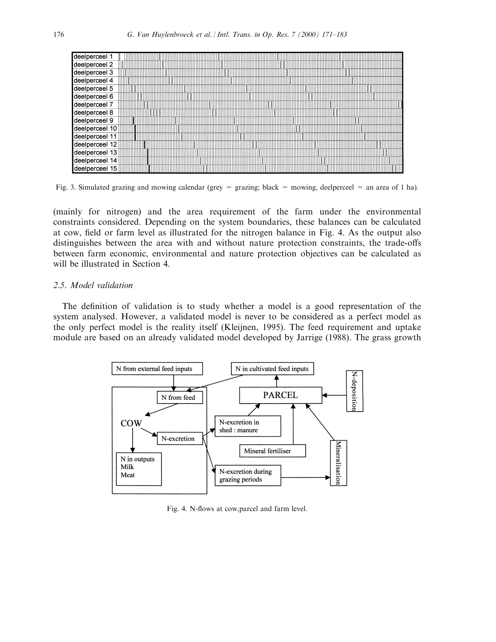

Fig. 3. Simulated grazing and mowing calendar (grey = grazing; black = mowing, deelperceel = an area of 1 ha).

(mainly for nitrogen) and the area requirement of the farm under the environmental constraints considered. Depending on the system boundaries, these balances can be calculated at cow, field or farm level as illustrated for the nitrogen balance in Fig. 4. As the output also distinguishes between the area with and without nature protection constraints, the trade-offs between farm economic, environmental and nature protection objectives can be calculated as will be illustrated in Section 4.

# 2.5. Model validation

The definition of validation is to study whether a model is a good representation of the system analysed. However, a validated model is never to be considered as a perfect model as the only perfect model is the reality itself (Kleijnen, 1995). The feed requirement and uptake module are based on an already validated model developed by Jarrige (1988). The grass growth



Fig. 4. N-flows at cow, parcel and farm level.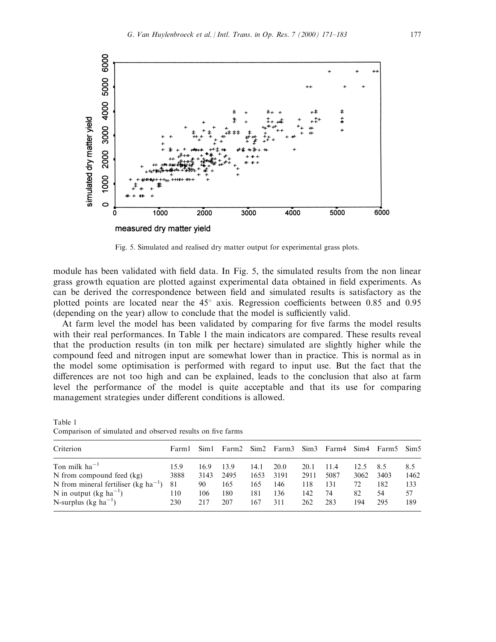

Fig. 5. Simulated and realised dry matter output for experimental grass plots.

module has been validated with field data. In Fig. 5, the simulated results from the non linear grass growth equation are plotted against experimental data obtained in field experiments. As can be derived the correspondence between field and simulated results is satisfactory as the plotted points are located near the  $45^{\circ}$  axis. Regression coefficients between 0.85 and 0.95 (depending on the year) allow to conclude that the model is sufficiently valid.

At farm level the model has been validated by comparing for five farms the model results with their real performances. In Table 1 the main indicators are compared. These results reveal that the production results (in ton milk per hectare) simulated are slightly higher while the compound feed and nitrogen input are somewhat lower than in practice. This is normal as in the model some optimisation is performed with regard to input use. But the fact that the differences are not too high and can be explained, leads to the conclusion that also at farm level the performance of the model is quite acceptable and that its use for comparing management strategies under different conditions is allowed.

Table 1 Comparison of simulated and observed results on five farms

| Criterion                                       | Farm1 | Sim1 |      |      | Farm2 Sim2 Farm3 Sim3 Farm4 |      |      | Sim4 | Farm5 Sim5 |      |
|-------------------------------------------------|-------|------|------|------|-----------------------------|------|------|------|------------|------|
| Ton milk $ha^{-1}$                              | 15.9  | 16.9 | 13.9 | 14.1 | 20.0                        | 20.1 | 11.4 | 12.5 | 8.5        | 8.5  |
| N from compound feed (kg)                       | 3888  | 3143 | 2495 | 1653 | 3191                        | 2911 | 5087 | 3062 | 3403       | 1462 |
| N from mineral fertiliser (kg $ha^{-1}$ )       | 81    | 90   | 165  | 165  | 146                         | 118  | 131  | 72   | 182        | 133  |
| N in output (kg ha <sup><math>-1</math></sup> ) | 110   | 106  | 180  | 181  | 136                         | 142  | 74   | 82   | 54         | 57   |
| N-surplus (kg ha <sup>-1</sup> )                | 230   | 217  | 207  | 167  | 311                         | 262  | 283  | 194  | 295        | 189  |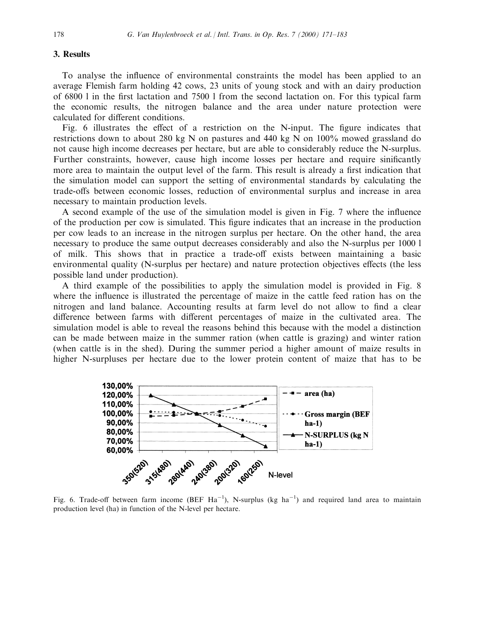#### 3. Results

To analyse the influence of environmental constraints the model has been applied to an average Flemish farm holding 42 cows, 23 units of young stock and with an dairy production of  $6800$  l in the first lactation and  $7500$  l from the second lactation on. For this typical farm the economic results, the nitrogen balance and the area under nature protection were calculated for different conditions.

Fig. 6 illustrates the effect of a restriction on the N-input. The figure indicates that restrictions down to about 280 kg N on pastures and 440 kg N on 100% mowed grassland do not cause high income decreases per hectare, but are able to considerably reduce the N-surplus. Further constraints, however, cause high income losses per hectare and require sinificantly more area to maintain the output level of the farm. This result is already a first indication that the simulation model can support the setting of environmental standards by calculating the trade-offs between economic losses, reduction of environmental surplus and increase in area necessary to maintain production levels.

A second example of the use of the simulation model is given in Fig. 7 where the influence of the production per cow is simulated. This figure indicates that an increase in the production per cow leads to an increase in the nitrogen surplus per hectare. On the other hand, the area necessary to produce the same output decreases considerably and also the N-surplus per 1000 l of milk. This shows that in practice a trade-off exists between maintaining a basic environmental quality (N-surplus per hectare) and nature protection objectives effects (the less possible land under production).

A third example of the possibilities to apply the simulation model is provided in Fig. 8 where the influence is illustrated the percentage of maize in the cattle feed ration has on the nitrogen and land balance. Accounting results at farm level do not allow to find a clear difference between farms with different percentages of maize in the cultivated area. The simulation model is able to reveal the reasons behind this because with the model a distinction can be made between maize in the summer ration (when cattle is grazing) and winter ration (when cattle is in the shed). During the summer period a higher amount of maize results in higher N-surpluses per hectare due to the lower protein content of maize that has to be



Fig. 6. Trade-off between farm income (BEF  $Ha^{-1}$ ), N-surplus (kg ha<sup>-1</sup>) and required land area to maintain production level (ha) in function of the N-level per hectare.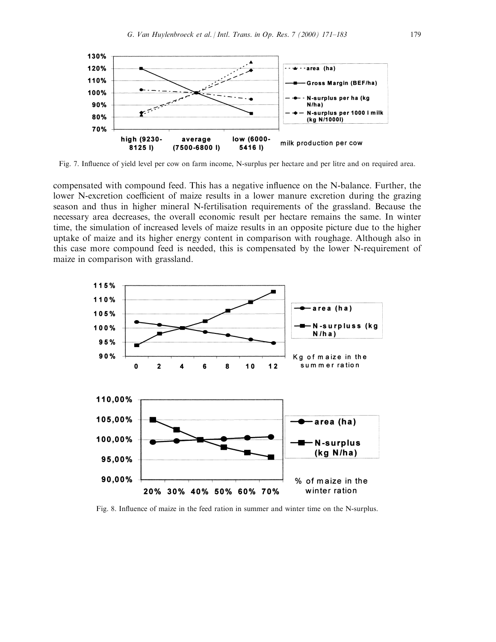

Fig. 7. Influence of yield level per cow on farm income, N-surplus per hectare and per litre and on required area.

compensated with compound feed. This has a negative influence on the N-balance. Further, the lower N-excretion coefficient of maize results in a lower manure excretion during the grazing season and thus in higher mineral N-fertilisation requirements of the grassland. Because the necessary area decreases, the overall economic result per hectare remains the same. In winter time, the simulation of increased levels of maize results in an opposite picture due to the higher uptake of maize and its higher energy content in comparison with roughage. Although also in this case more compound feed is needed, this is compensated by the lower N-requirement of maize in comparison with grassland.



Fig. 8. Influence of maize in the feed ration in summer and winter time on the N-surplus.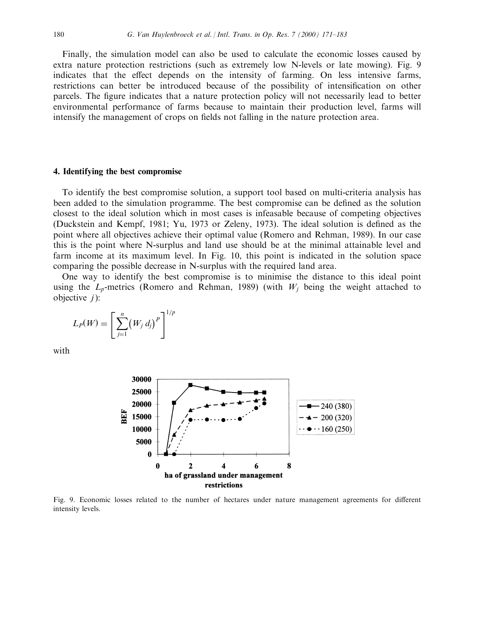Finally, the simulation model can also be used to calculate the economic losses caused by extra nature protection restrictions (such as extremely low N-levels or late mowing). Fig. 9 indicates that the effect depends on the intensity of farming. On less intensive farms, restrictions can better be introduced because of the possibility of intensification on other parcels. The figure indicates that a nature protection policy will not necessarily lead to better environmental performance of farms because to maintain their production level, farms will intensify the management of crops on fields not falling in the nature protection area.

#### 4. Identifying the best compromise

To identify the best compromise solution, a support tool based on multi-criteria analysis has been added to the simulation programme. The best compromise can be defined as the solution closest to the ideal solution which in most cases is infeasable because of competing objectives (Duckstein and Kempf, 1981; Yu, 1973 or Zeleny, 1973). The ideal solution is defined as the point where all objectives achieve their optimal value (Romero and Rehman, 1989). In our case this is the point where N-surplus and land use should be at the minimal attainable level and farm income at its maximum level. In Fig. 10, this point is indicated in the solution space comparing the possible decrease in N-surplus with the required land area.

One way to identify the best compromise is to minimise the distance to this ideal point using the  $L_p$ -metrics (Romero and Rehman, 1989) (with  $W_i$  being the weight attached to objective  $j$ :

$$
L_P(W) = \left[\sum_{j=1}^n (W_j d_j)^P\right]^{1/p}
$$

with



Fig. 9. Economic losses related to the number of hectares under nature management agreements for different intensity levels.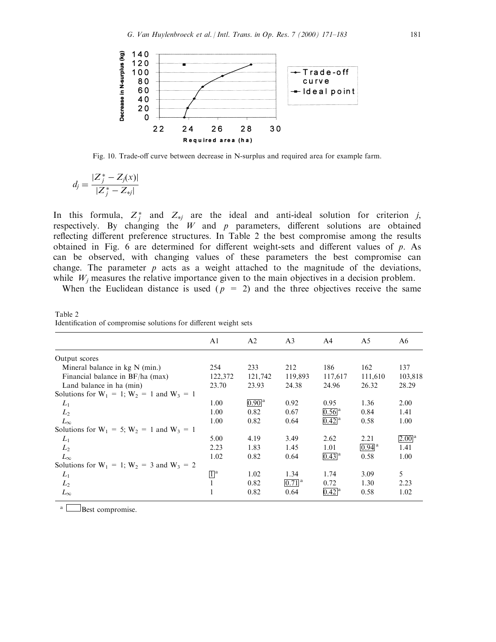

Fig. 10. Trade-off curve between decrease in N-surplus and required area for example farm.

$$
d_j = \frac{|Z_j^* - Z_j(x)|}{|Z_j^* - Z_{*j}|}
$$

In this formula,  $Z_j^*$  and  $Z_{*j}$  are the ideal and anti-ideal solution for criterion j, respectively. By changing the  $W$  and  $p$  parameters, different solutions are obtained reflecting different preference structures. In Table 2 the best compromise among the results obtained in Fig. 6 are determined for different weight-sets and different values of  $p$ . As can be observed, with changing values of these parameters the best compromise can change. The parameter  $p$  acts as a weight attached to the magnitude of the deviations, while  $W_j$  measures the relative importance given to the main objectives in a decision problem.

When the Euclidean distance is used ( $p = 2$ ) and the three objectives receive the same

|                                                   | A <sub>1</sub>              | A <sub>2</sub>                 | A <sub>3</sub>        | A4                    | A5                  | A6                    |  |
|---------------------------------------------------|-----------------------------|--------------------------------|-----------------------|-----------------------|---------------------|-----------------------|--|
| Output scores                                     |                             |                                |                       |                       |                     |                       |  |
| Mineral balance in $kg N (min.)$                  | 254                         | 233                            | 212                   | 186                   | 162                 | 137                   |  |
| Financial balance in BF/ha (max)                  | 122,372                     | 121,742                        | 119,893               | 117,617               | 111,610             | 103,818               |  |
| Land balance in ha (min)                          | 23.70                       | 23.93                          | 24.38                 | 24.96                 | 26.32               | 28.29                 |  |
| Solutions for $W_1 = 1$ ; $W_2 = 1$ and $W_3 = 1$ |                             |                                |                       |                       |                     |                       |  |
| $L_1$                                             | 1.00                        | $\overline{0.90}$ <sup>a</sup> | 0.92                  | 0.95                  | 1.36                | 2.00                  |  |
| $L_2$                                             | 1.00                        | 0.82                           | 0.67                  | $0.56$ <sup>a</sup>   | 0.84                | 1.41                  |  |
| $L_{\infty}$                                      | 1.00                        | 0.82                           | 0.64                  | $[0.42]$ <sup>a</sup> | 0.58                | 1.00                  |  |
| Solutions for $W_1 = 5$ ; $W_2 = 1$ and $W_3 = 1$ |                             |                                |                       |                       |                     |                       |  |
| $L_1$                                             | 5.00                        | 4.19                           | 3.49                  | 2.62                  | 2.21                | $[2.00]$ <sup>a</sup> |  |
| $L_2$                                             | 2.23                        | 1.83                           | 1.45                  | 1.01                  | $0.94$ <sup>a</sup> | 1.41                  |  |
| $L_{\infty}$                                      | 1.02                        | 0.82                           | 0.64                  | $[0.43]$ <sup>a</sup> | 0.58                | 1.00                  |  |
| Solutions for $W_1 = 1$ ; $W_2 = 3$ and $W_3 = 2$ |                             |                                |                       |                       |                     |                       |  |
| $L_1$                                             | $\mathbb{I}^{\mathfrak{a}}$ | 1.02                           | 1.34                  | 1.74                  | 3.09                | 5                     |  |
| $L_2$                                             |                             | 0.82                           | $[0.71]$ <sup>a</sup> | 0.72                  | 1.30                | 2.23                  |  |
| $L_{\infty}$                                      |                             | 0.82                           | 0.64                  | $0.42$ <sup>a</sup>   | 0.58                | 1.02                  |  |

Table 2 Identification of compromise solutions for different weight sets

 $a \Box$ Best compromise.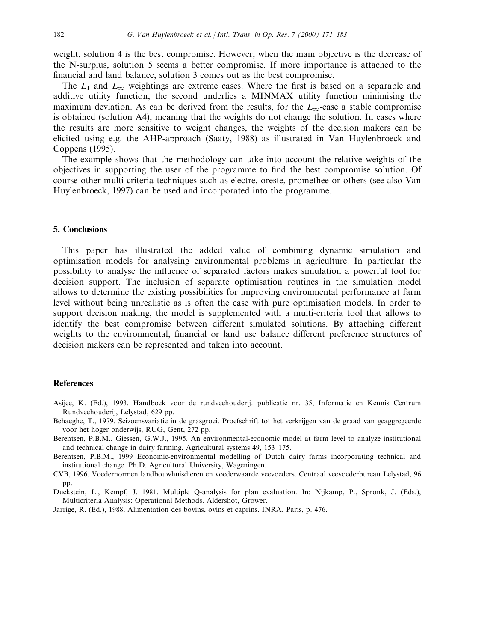weight, solution 4 is the best compromise. However, when the main objective is the decrease of the N-surplus, solution 5 seems a better compromise. If more importance is attached to the financial and land balance, solution 3 comes out as the best compromise.

The  $L_1$  and  $L_\infty$  weightings are extreme cases. Where the first is based on a separable and additive utility function, the second underlies a MINMAX utility function minimising the maximum deviation. As can be derived from the results, for the  $L_{\infty}$ -case a stable compromise is obtained (solution A4), meaning that the weights do not change the solution. In cases where the results are more sensitive to weight changes, the weights of the decision makers can be elicited using e.g. the AHP-approach (Saaty, 1988) as illustrated in Van Huylenbroeck and Coppens (1995).

The example shows that the methodology can take into account the relative weights of the objectives in supporting the user of the programme to find the best compromise solution. Of course other multi-criteria techniques such as electre, oreste, promethee or others (see also Van Huylenbroeck, 1997) can be used and incorporated into the programme.

#### 5. Conclusions

This paper has illustrated the added value of combining dynamic simulation and optimisation models for analysing environmental problems in agriculture. In particular the possibility to analyse the influence of separated factors makes simulation a powerful tool for decision support. The inclusion of separate optimisation routines in the simulation model allows to determine the existing possibilities for improving environmental performance at farm level without being unrealistic as is often the case with pure optimisation models. In order to support decision making, the model is supplemented with a multi-criteria tool that allows to identify the best compromise between different simulated solutions. By attaching different weights to the environmental, financial or land use balance different preference structures of decision makers can be represented and taken into account.

#### References

- Asijee, K. (Ed.), 1993. Handboek voor de rundveehouderij. publicatie nr. 35, Informatie en Kennis Centrum Rundveehouderij, Lelystad, 629 pp.
- Behaeghe, T., 1979. Seizoensvariatie in de grasgroei. Proefschrift tot het verkrijgen van de graad van geaggregeerde voor het hoger onderwijs, RUG, Gent, 272 pp.
- Berentsen, P.B.M., Giessen, G.W.J., 1995. An environmental-economic model at farm level to analyze institutional and technical change in dairy farming. Agricultural systems 49, 153–175.
- Berentsen, P.B.M., 1999 Economic-environmental modelling of Dutch dairy farms incorporating technical and institutional change. Ph.D. Agricultural University, Wageningen.
- CVB, 1996. Voedernormen landbouwhuisdieren en voederwaarde veevoeders. Centraal veevoederbureau Lelystad, 96 pp.
- Duckstein, L., Kempf, J. 1981. Multiple Q-analysis for plan evaluation. In: Nijkamp, P., Spronk, J. (Eds.), Multicriteria Analysis: Operational Methods. Aldershot, Grower.

Jarrige, R. (Ed.), 1988. Alimentation des bovins, ovins et caprins. INRA, Paris, p. 476.